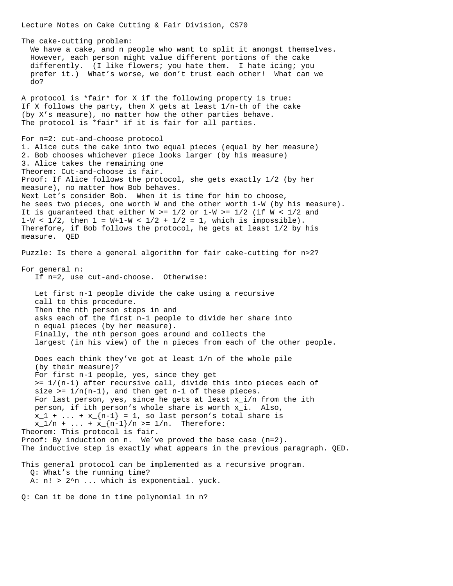Lecture Notes on Cake Cutting & Fair Division, CS70 The cake-cutting problem: We have a cake, and n people who want to split it amongst themselves. However, each person might value different portions of the cake differently. (I like flowers; you hate them. I hate icing; you prefer it.) What's worse, we don't trust each other! What can we do? A protocol is \*fair\* for X if the following property is true: If X follows the party, then X gets at least 1/n-th of the cake (by X's measure), no matter how the other parties behave. The protocol is \*fair\* if it is fair for all parties. For n=2: cut-and-choose protocol 1. Alice cuts the cake into two equal pieces (equal by her measure) 2. Bob chooses whichever piece looks larger (by his measure) 3. Alice takes the remaining one Theorem: Cut-and-choose is fair. Proof: If Alice follows the protocol, she gets exactly 1/2 (by her measure), no matter how Bob behaves. Next Let's consider Bob. When it is time for him to choose, he sees two pieces, one worth W and the other worth 1-W (by his measure). It is guaranteed that either W >=  $1/2$  or  $1-W$  >=  $1/2$  (if W <  $1/2$  and  $1-W < 1/2$ , then  $1 = W+1-W < 1/2 + 1/2 = 1$ , which is impossible). Therefore, if Bob follows the protocol, he gets at least 1/2 by his measure. QED Puzzle: Is there a general algorithm for fair cake-cutting for n>2? For general n: If n=2, use cut-and-choose. Otherwise: Let first n-1 people divide the cake using a recursive call to this procedure. Then the nth person steps in and asks each of the first n-1 people to divide her share into n equal pieces (by her measure). Finally, the nth person goes around and collects the largest (in his view) of the n pieces from each of the other people. Does each think they've got at least 1/n of the whole pile (by their measure)? For first n-1 people, yes, since they get >= 1/(n-1) after recursive call, divide this into pieces each of size  $>= 1/n(n-1)$ , and then get n-1 of these pieces. For last person, yes, since he gets at least x\_i/n from the ith person, if ith person's whole share is worth  $x_i$ . Also,  $x_1 + \ldots + x_{n-1} = 1$ , so last person's total share is  $x_1/n + ... + x_{n-1}/n \ge 1/n$ . Therefore: Theorem: This protocol is fair. Proof: By induction on n. We've proved the base case (n=2). The inductive step is exactly what appears in the previous paragraph. QED. This general protocol can be implemented as a recursive program. Q: What's the running time? A: n! > 2^n ... which is exponential. yuck. Q: Can it be done in time polynomial in n?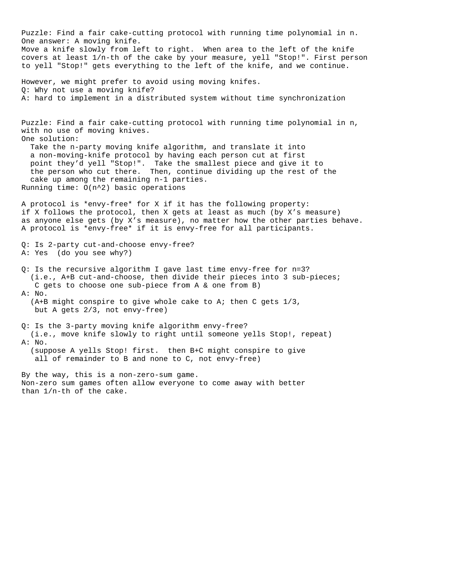Puzzle: Find a fair cake-cutting protocol with running time polynomial in n. One answer: A moving knife. Move a knife slowly from left to right. When area to the left of the knife covers at least 1/n-th of the cake by your measure, yell "Stop!". First person to yell "Stop!" gets everything to the left of the knife, and we continue. However, we might prefer to avoid using moving knifes. Q: Why not use a moving knife? A: hard to implement in a distributed system without time synchronization Puzzle: Find a fair cake-cutting protocol with running time polynomial in n, with no use of moving knives. One solution: Take the n-party moving knife algorithm, and translate it into a non-moving-knife protocol by having each person cut at first point they'd yell "Stop!". Take the smallest piece and give it to the person who cut there. Then, continue dividing up the rest of the cake up among the remaining n-1 parties. Running time: O(n^2) basic operations A protocol is \*envy-free\* for X if it has the following property: if X follows the protocol, then X gets at least as much (by X's measure) as anyone else gets (by X's measure), no matter how the other parties behave. A protocol is \*envy-free\* if it is envy-free for all participants. Q: Is 2-party cut-and-choose envy-free? A: Yes (do you see why?) Q: Is the recursive algorithm I gave last time envy-free for n=3? (i.e., A+B cut-and-choose, then divide their pieces into 3 sub-pieces; C gets to choose one sub-piece from A & one from B)  $A: N<sub>O</sub>$  (A+B might conspire to give whole cake to A; then C gets 1/3, but A gets 2/3, not envy-free) Q: Is the 3-party moving knife algorithm envy-free? (i.e., move knife slowly to right until someone yells Stop!, repeat) A: No. (suppose A yells Stop! first. then B+C might conspire to give all of remainder to B and none to C, not envy-free) By the way, this is a non-zero-sum game. Non-zero sum games often allow everyone to come away with better than 1/n-th of the cake.